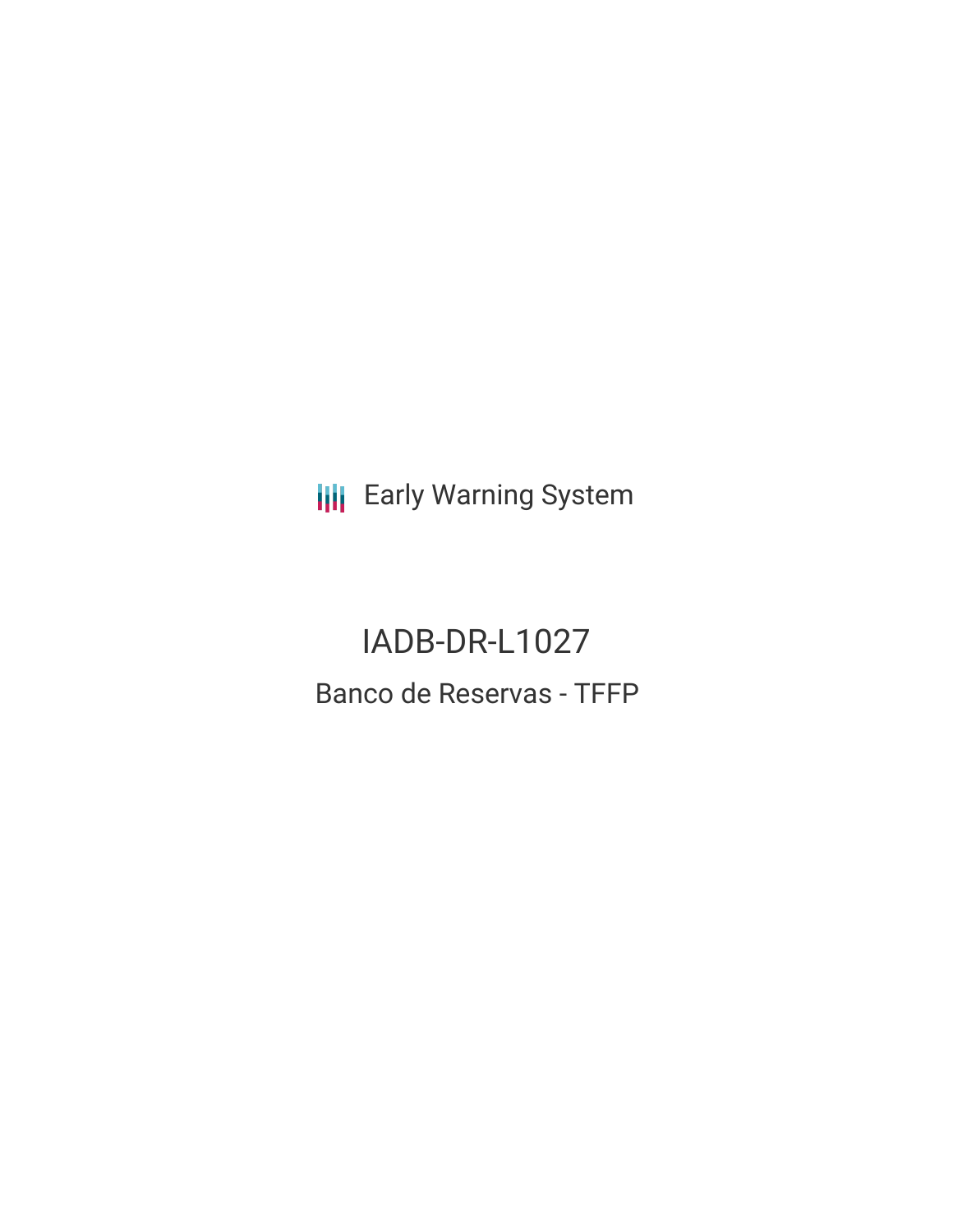**III** Early Warning System

IADB-DR-L1027 Banco de Reservas - TFFP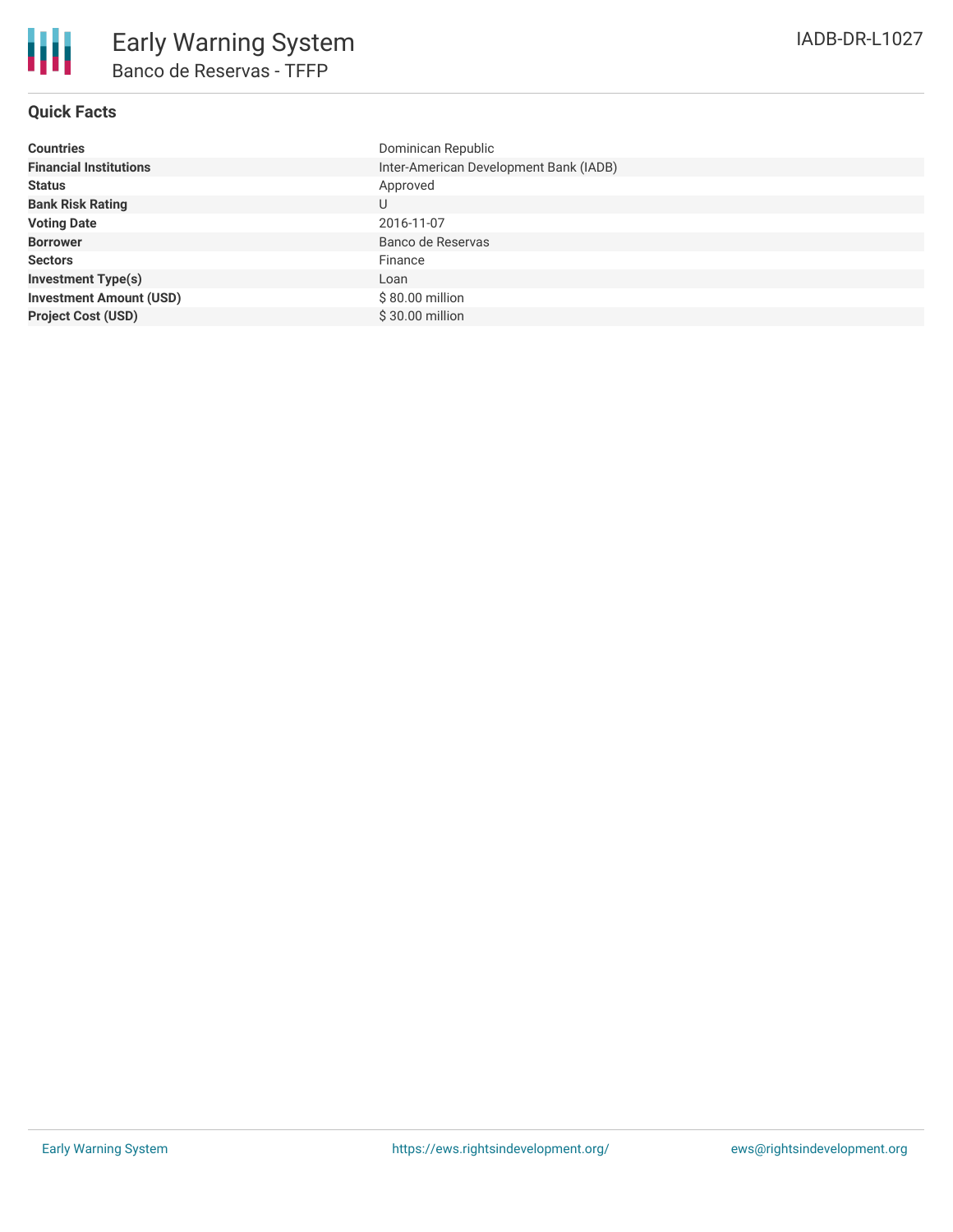## **Quick Facts**

| <b>Countries</b>               | Dominican Republic                     |
|--------------------------------|----------------------------------------|
| <b>Financial Institutions</b>  | Inter-American Development Bank (IADB) |
| <b>Status</b>                  | Approved                               |
| <b>Bank Risk Rating</b>        | U                                      |
| <b>Voting Date</b>             | 2016-11-07                             |
| <b>Borrower</b>                | Banco de Reservas                      |
| <b>Sectors</b>                 | Finance                                |
| <b>Investment Type(s)</b>      | Loan                                   |
| <b>Investment Amount (USD)</b> | $$80.00$ million                       |
| <b>Project Cost (USD)</b>      | \$30.00 million                        |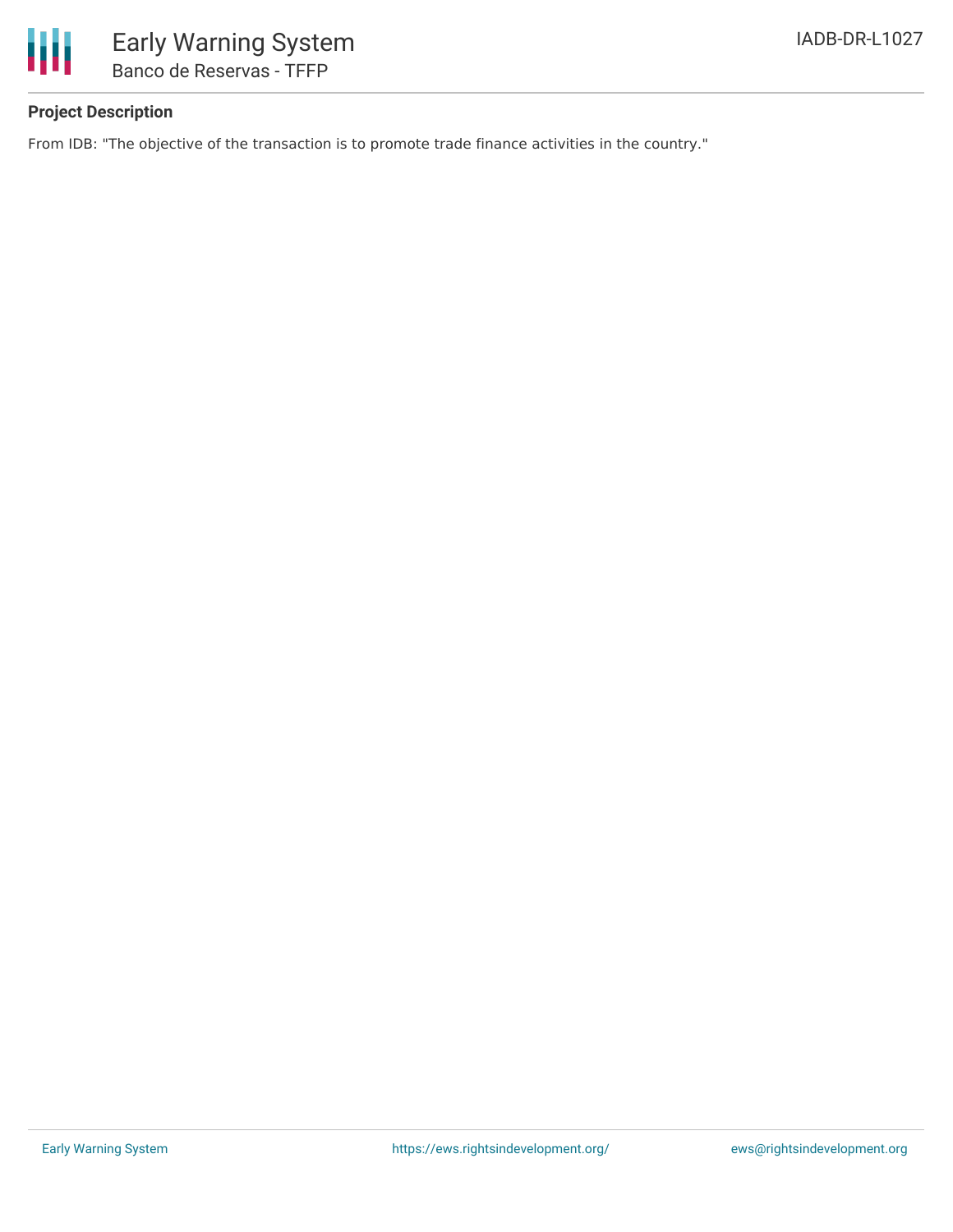

# **Project Description**

From IDB: "The objective of the transaction is to promote trade finance activities in the country."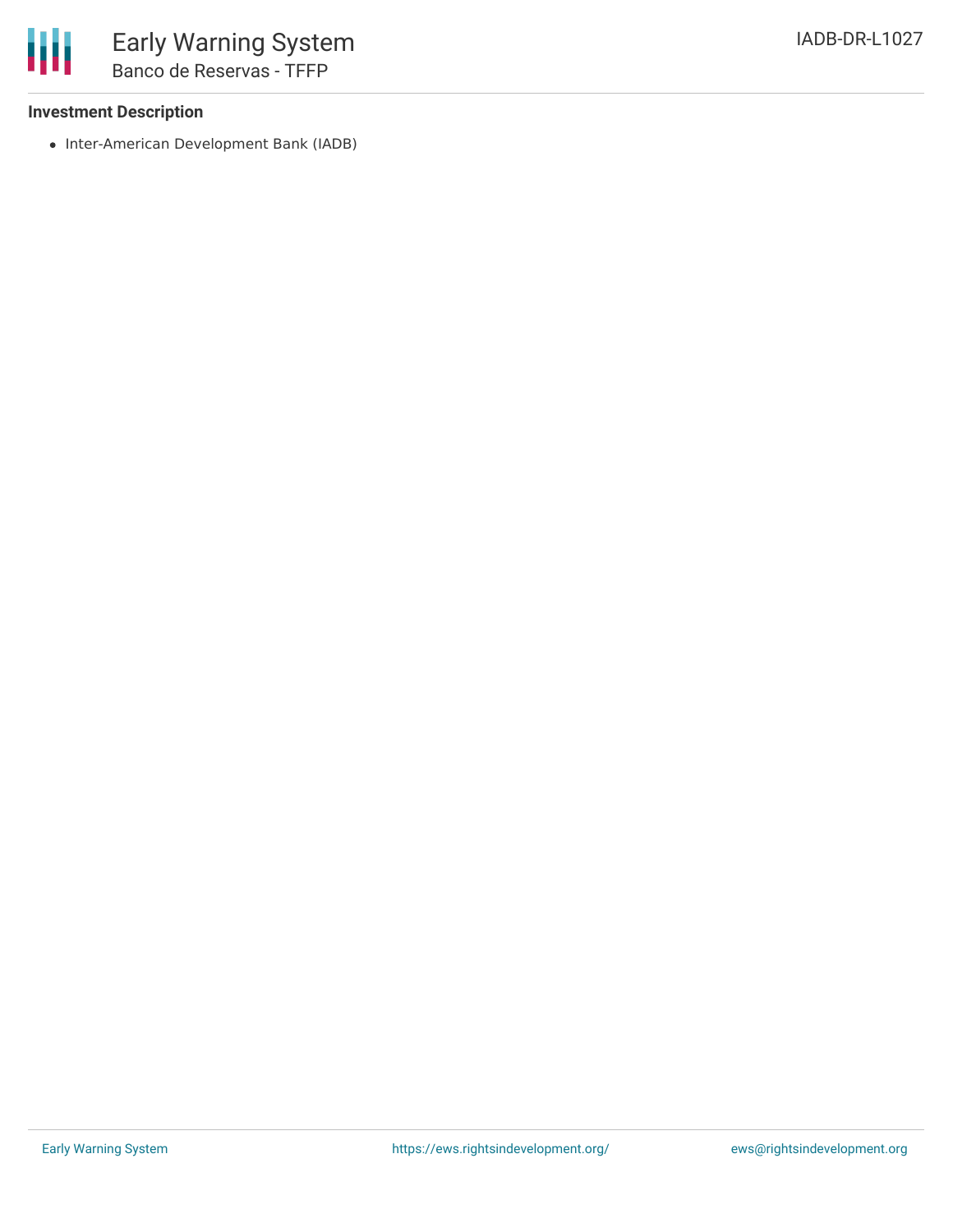### **Investment Description**

• Inter-American Development Bank (IADB)